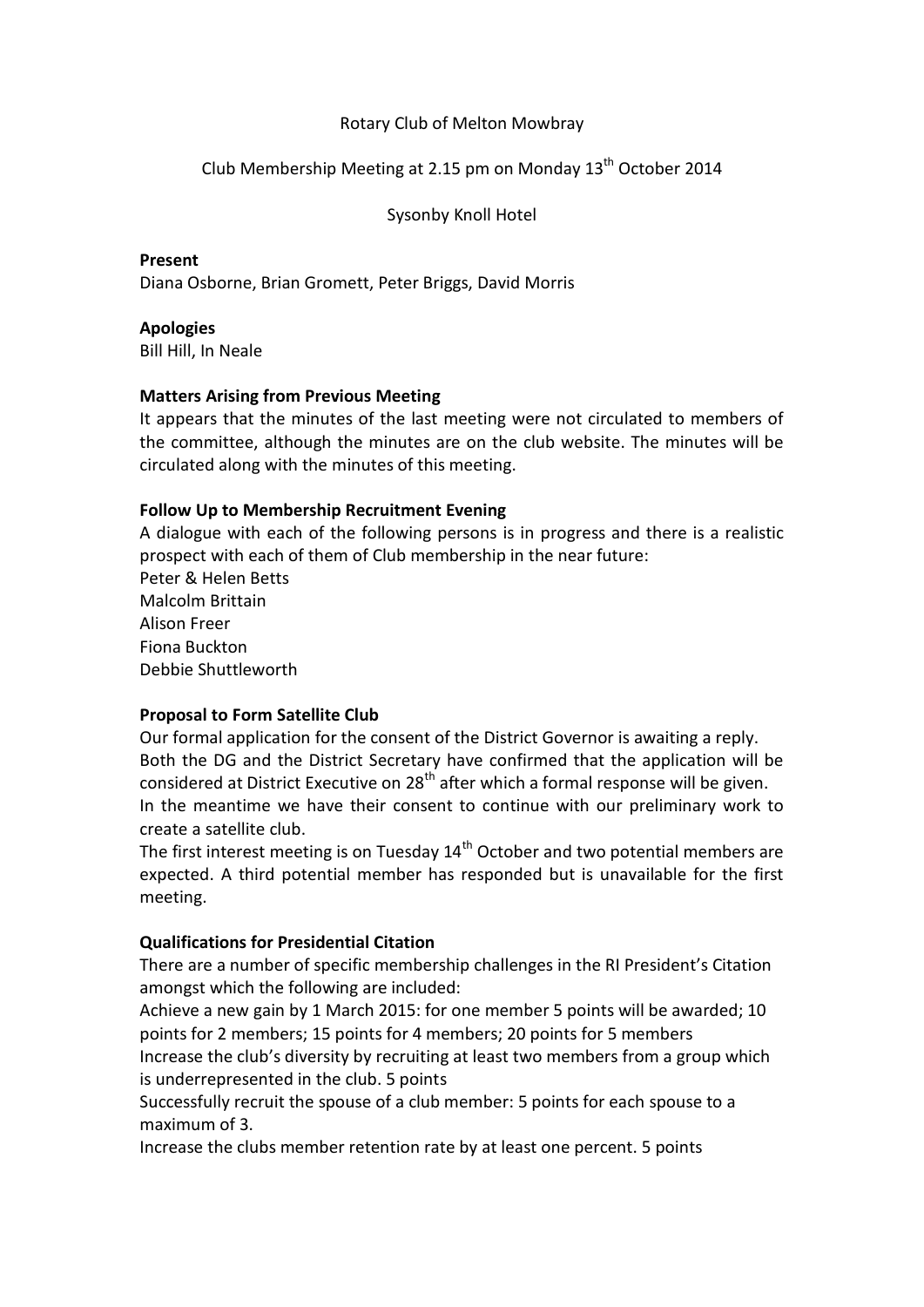### Rotary Club of Melton Mowbray

# Club Membership Meeting at 2.15 pm on Monday  $13<sup>th</sup>$  October 2014

Sysonby Knoll Hotel

**Present** Diana Osborne, Brian Gromett, Peter Briggs, David Morris

**Apologies** Bill Hill, In Neale

### **Matters Arising from Previous Meeting**

It appears that the minutes of the last meeting were not circulated to members of the committee, although the minutes are on the club website. The minutes will be circulated along with the minutes of this meeting.

### **Follow Up to Membership Recruitment Evening**

A dialogue with each of the following persons is in progress and there is a realistic prospect with each of them of Club membership in the near future: Peter & Helen Betts Malcolm Brittain Alison Freer Fiona Buckton Debbie Shuttleworth

# **Proposal to Form Satellite Club**

Our formal application for the consent of the District Governor is awaiting a reply. Both the DG and the District Secretary have confirmed that the application will be considered at District Executive on  $28<sup>th</sup>$  after which a formal response will be given. In the meantime we have their consent to continue with our preliminary work to create a satellite club.

The first interest meeting is on Tuesday  $14<sup>th</sup>$  October and two potential members are expected. A third potential member has responded but is unavailable for the first meeting.

# **Qualifications for Presidential Citation**

There are a number of specific membership challenges in the RI President's Citation amongst which the following are included:

Achieve a new gain by 1 March 2015: for one member 5 points will be awarded; 10 points for 2 members; 15 points for 4 members; 20 points for 5 members

Increase the club's diversity by recruiting at least two members from a group which is underrepresented in the club. 5 points

Successfully recruit the spouse of a club member: 5 points for each spouse to a maximum of 3.

Increase the clubs member retention rate by at least one percent. 5 points